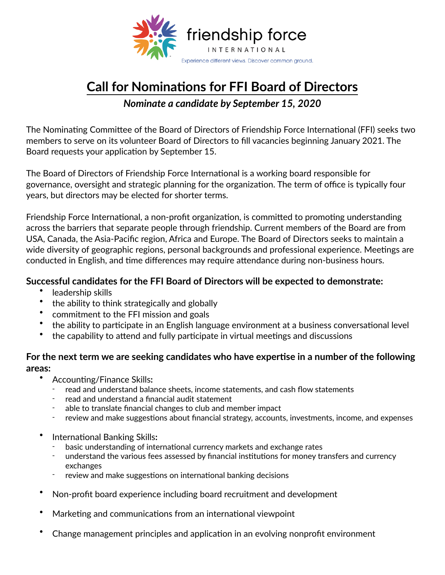

## **Call for Nominations for FFI Board of Directors**

*Nominate a candidate by September 15, 2020* 

The Nominating Committee of the Board of Directors of Friendship Force International (FFI) seeks two members to serve on its volunteer Board of Directors to fill vacancies beginning January 2021. The Board requests your application by September 15.

The Board of Directors of Friendship Force International is a working board responsible for governance, oversight and strategic planning for the organization. The term of office is typically four years, but directors may be elected for shorter terms.

Friendship Force International, a non-profit organization, is committed to promoting understanding across the barriers that separate people through friendship. Current members of the Board are from USA, Canada, the Asia-Pacific region, Africa and Europe. The Board of Directors seeks to maintain a wide diversity of geographic regions, personal backgrounds and professional experience. Meetings are conducted in English, and time differences may require attendance during non-business hours.

## **Successful candidates for the FFI Board of Directors will be expected to demonstrate:**

- leadership skills
- the ability to think strategically and globally
- commitment to the FFI mission and goals
- the ability to participate in an English language environment at a business conversational level
- the capability to attend and fully participate in virtual meetings and discussions

## For the next term we are seeking candidates who have expertise in a number of the following **areas:**

- Accounting/Finance Skills:
	- read and understand balance sheets, income statements, and cash flow statements
	- read and understand a financial audit statement
	- able to translate financial changes to club and member impact
	- review and make suggestions about financial strategy, accounts, investments, income, and expenses
- International Banking Skills:
	- basic understanding of international currency markets and exchange rates
	- understand the various fees assessed by financial institutions for money transfers and currency exchanges
	- review and make suggestions on international banking decisions
- Non-profit board experience including board recruitment and development
- Marketing and communications from an international viewpoint
- Change management principles and application in an evolving nonprofit environment